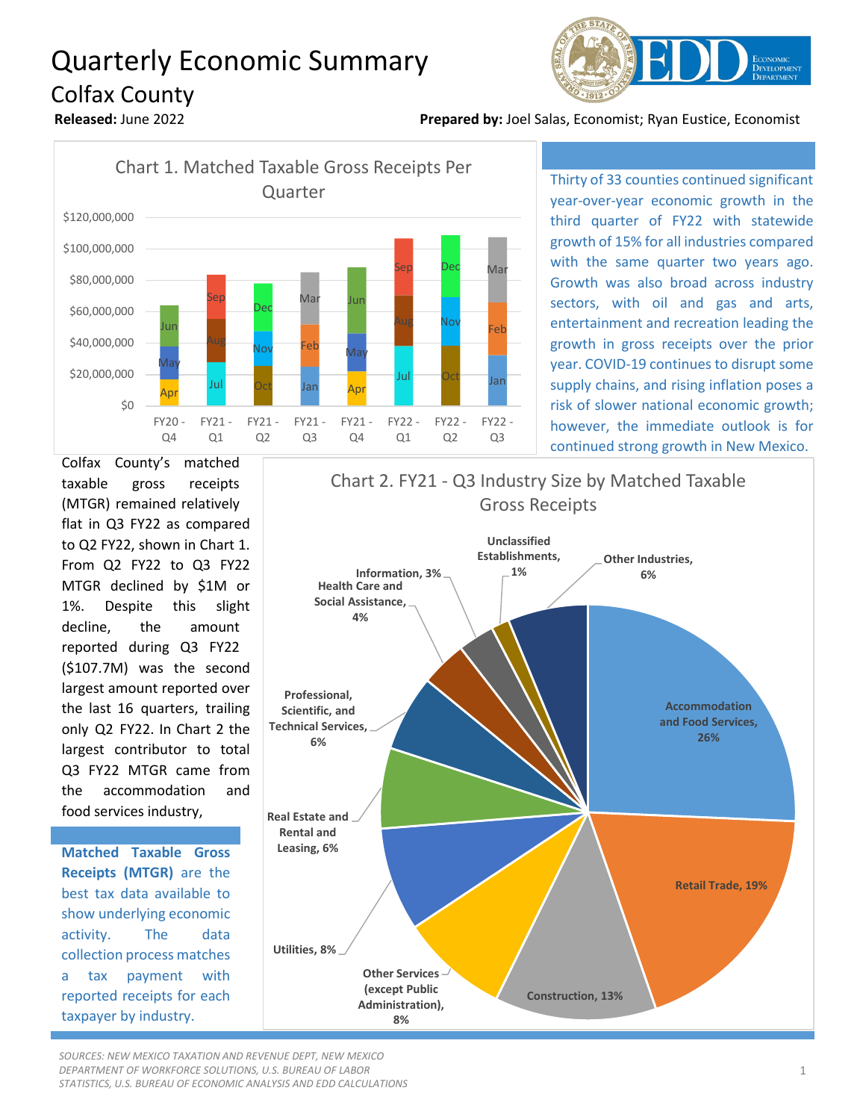## Quarterly Economic Summary Colfax County



**Released:** June 2022 **Prepared by:** Joel Salas, Economist; Ryan Eustice, Economist



Thirty of 33 counties continued significant year-over-year economic growth in the third quarter of FY22 with statewide growth of 15% for all industries compared with the same quarter two years ago. Growth was also broad across industry sectors, with oil and gas and arts, entertainment and recreation leading the growth in gross receipts over the prior year. COVID-19 continues to disrupt some supply chains, and rising inflation poses a risk of slower national economic growth; however, the immediate outlook is for continued strong growth in New Mexico.

Colfax County's matched taxable gross receipts (MTGR) remained relatively flat in Q3 FY22 as compared to Q2 FY22, shown in Chart 1. From Q2 FY22 to Q3 FY22 MTGR declined by \$1M or 1%. Despite this slight decline, the amount reported during Q3 FY22 (\$107.7M) was the second largest amount reported over the last 16 quarters, trailing only Q2 FY22. In Chart 2 the largest contributor to total Q3 FY22 MTGR came from the accommodation and food services industry,

**Matched Taxable Gross Receipts (MTGR)** are the best tax data available to show underlying economic activity. The data collection process matches a tax payment with reported receipts for each taxpayer by industry.



*SOURCES: NEW MEXICO TAXATION AND REVENUE DEPT, NEW MEXICO DEPARTMENT OF WORKFORCE SOLUTIONS, U.S. BUREAU OF LABOR STATISTICS, U.S. BUREAU OF ECONOMIC ANALYSIS AND EDD CALCULATIONS*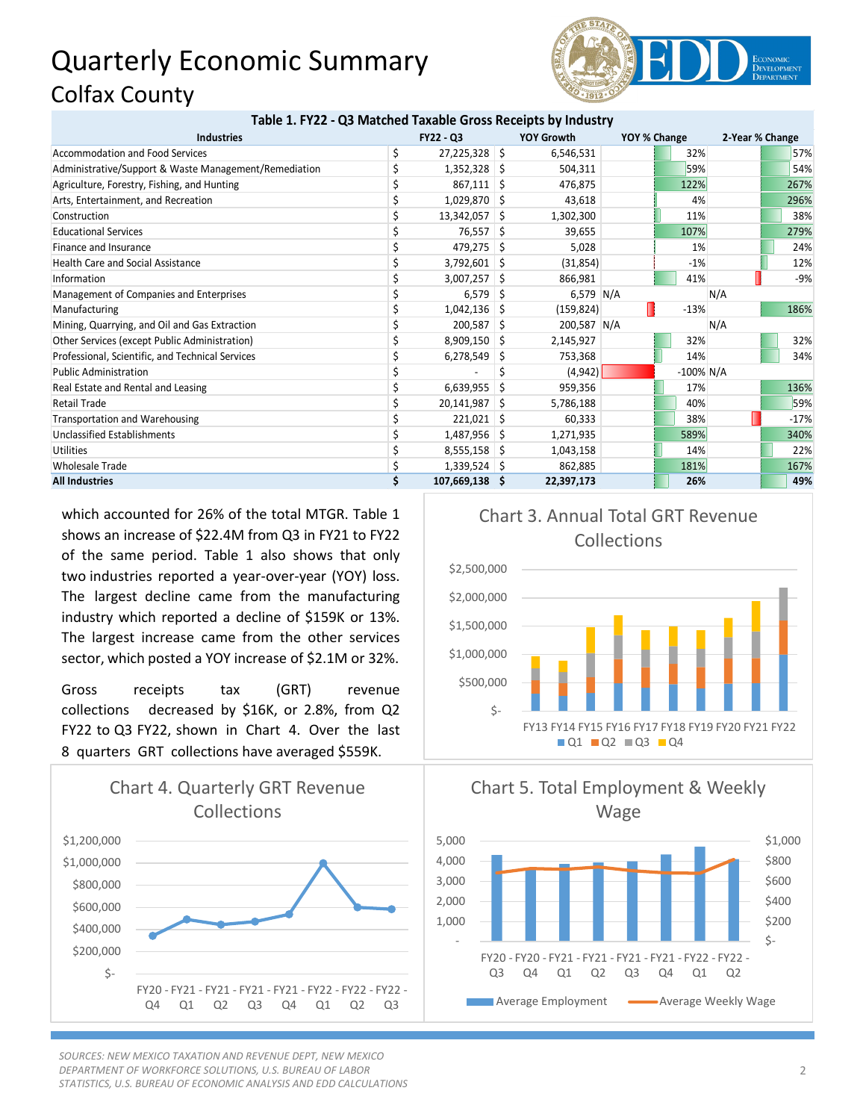## Quarterly Economic Summary Colfax County



| Table 1. FY22 - Q3 Matched Taxable Gross Receipts by Industry |  |
|---------------------------------------------------------------|--|
|---------------------------------------------------------------|--|

| <b>Industries</b>                                     | <b>FY22 - Q3</b> |                 | <b>YOY Growth</b> |             | YOY % Change | 2-Year % Change |     |        |
|-------------------------------------------------------|------------------|-----------------|-------------------|-------------|--------------|-----------------|-----|--------|
| <b>Accommodation and Food Services</b>                |                  | $27,225,328$ \$ |                   | 6,546,531   |              | 32%             |     | 57%    |
| Administrative/Support & Waste Management/Remediation |                  | $1,352,328$ \$  |                   | 504,311     |              | 59%             |     | 54%    |
| Agriculture, Forestry, Fishing, and Hunting           |                  | $867,111$ \$    |                   | 476,875     |              | 122%            |     | 267%   |
| Arts, Entertainment, and Recreation                   |                  | $1,029,870$ \$  |                   | 43,618      |              | 4%              |     | 296%   |
| Construction                                          |                  | 13,342,057 \$   |                   | 1,302,300   |              | 11%             |     | 38%    |
| <b>Educational Services</b>                           |                  | 76,557 \$       |                   | 39.655      |              | 107%            |     | 279%   |
| Finance and Insurance                                 |                  | $479,275$ \$    |                   | 5,028       |              | 1%              |     | 24%    |
| <b>Health Care and Social Assistance</b>              |                  | $3,792,601$ \$  |                   | (31, 854)   |              | $-1%$           |     | 12%    |
| Information                                           |                  | $3,007,257$ \$  |                   | 866,981     |              | 41%             |     | $-9%$  |
| Management of Companies and Enterprises               |                  | 6,579           | -S                | 6,579 $N/A$ |              |                 | N/A |        |
| Manufacturing                                         |                  | $1,042,136$ \$  |                   | (159, 824)  |              | $-13%$          |     | 186%   |
| Mining, Quarrying, and Oil and Gas Extraction         |                  | $200,587$ \$    |                   | 200,587 N/A |              |                 | N/A |        |
| Other Services (except Public Administration)         |                  | $8,909,150$ \$  |                   | 2,145,927   |              | 32%             |     | 32%    |
| Professional, Scientific, and Technical Services      |                  | 6,278,549       | S                 | 753,368     |              | 14%             |     | 34%    |
| <b>Public Administration</b>                          |                  |                 | S                 | (4,942)     |              | $-100\%$ N/A    |     |        |
| Real Estate and Rental and Leasing                    |                  | 6,639,955       | S                 | 959,356     |              | 17%             |     | 136%   |
| Retail Trade                                          |                  | $20,141,987$ \$ |                   | 5,786,188   |              | 40%             |     | 59%    |
| <b>Transportation and Warehousing</b>                 |                  | $221,021$ \$    |                   | 60,333      |              | 38%             |     | $-17%$ |
| Unclassified Establishments                           |                  | 1,487,956 \$    |                   | 1,271,935   |              | 589%            |     | 340%   |
| <b>Utilities</b>                                      |                  | $8,555,158$ \$  |                   | 1,043,158   |              | 14%             |     | 22%    |
| <b>Wholesale Trade</b>                                |                  | $1,339,524$ \$  |                   | 862,885     |              | 181%            |     | 167%   |
| <b>All Industries</b>                                 |                  | 107,669,138 \$  |                   | 22,397,173  |              | 26%             |     | 49%    |

which accounted for 26% of the total MTGR. Table 1 shows an increase of \$22.4M from Q3 in FY21 to FY22 of the same period. Table 1 also shows that only two industries reported a year-over-year (YOY) loss. The largest decline came from the manufacturing industry which reported a decline of \$159K or 13%. The largest increase came from the other services sector, which posted a YOY increase of \$2.1M or 32%.

Gross receipts tax (GRT) revenue collections decreased by \$16K, or 2.8%, from Q2 FY22 to Q3 FY22, shown in Chart 4. Over the last 8 quarters GRT collections have averaged \$559K.



*SOURCES: NEW MEXICO TAXATION AND REVENUE DEPT, NEW MEXICO DEPARTMENT OF WORKFORCE SOLUTIONS, U.S. BUREAU OF LABOR STATISTICS, U.S. BUREAU OF ECONOMIC ANALYSIS AND EDD CALCULATIONS*